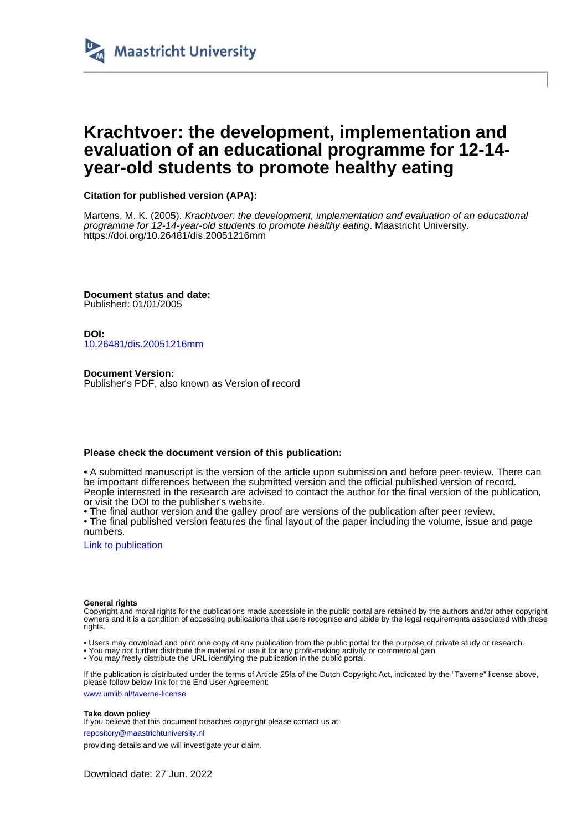

# **Krachtvoer: the development, implementation and evaluation of an educational programme for 12-14 year-old students to promote healthy eating**

# **Citation for published version (APA):**

Martens, M. K. (2005). Krachtvoer: the development, implementation and evaluation of an educational programme for 12-14-year-old students to promote healthy eating. Maastricht University. <https://doi.org/10.26481/dis.20051216mm>

**Document status and date:** Published: 01/01/2005

**DOI:** [10.26481/dis.20051216mm](https://doi.org/10.26481/dis.20051216mm)

**Document Version:** Publisher's PDF, also known as Version of record

## **Please check the document version of this publication:**

• A submitted manuscript is the version of the article upon submission and before peer-review. There can be important differences between the submitted version and the official published version of record. People interested in the research are advised to contact the author for the final version of the publication, or visit the DOI to the publisher's website.

• The final author version and the galley proof are versions of the publication after peer review.

• The final published version features the final layout of the paper including the volume, issue and page numbers.

[Link to publication](https://cris.maastrichtuniversity.nl/en/publications/3496373e-e4ae-4aa0-b273-b43ce850b2c5)

#### **General rights**

Copyright and moral rights for the publications made accessible in the public portal are retained by the authors and/or other copyright owners and it is a condition of accessing publications that users recognise and abide by the legal requirements associated with these rights.

- Users may download and print one copy of any publication from the public portal for the purpose of private study or research.
- You may not further distribute the material or use it for any profit-making activity or commercial gain
- You may freely distribute the URL identifying the publication in the public portal

If the publication is distributed under the terms of Article 25fa of the Dutch Copyright Act, indicated by the "Taverne" license above, please follow below link for the End User Agreement:

www.umlib.nl/taverne-license

#### **Take down policy**

If you believe that this document breaches copyright please contact us at:

repository@maastrichtuniversity.nl

providing details and we will investigate your claim.

Download date: 27 Jun. 2022